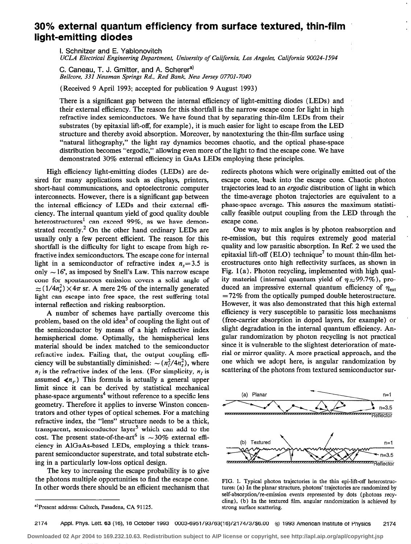## 30% external quantum efficiency from surface textured, thin-film light-emitting diodes

I. Schnitzer and E. Yablonovitch

UCLA Electrical Engineering Department, University of California, Los Angeles, California 90024-1594

C. Caneau, T. J. Gmitter, and A. Scherer<sup>a)</sup> Bellcore, 331 Newman Springs Rd., Red Bank, New Jersey 07701-7040

(Received 9 April 1993; accepted for publication 9 August 1993)

There is a significant gap between the internal efficiency of light-emitting diodes (LEDs) and their external efficiency. The reason for this shortfall is the narrow escape cone for light in high refractive index semiconductors. We have found that by separating thin-film LEDs from their substrates (by epitaxial lift-off, for example), it is much easier for light to escape from the LED structure and thereby avoid absorption. Moreover, by nanotexturing the thin-film surface using "natural lithography," the light ray dynamics becomes chaotic, and the optical phase-space distribution becomes "ergodic," allowing even more of the light to find the escape cone. We have demonstrated 30% external efficiency in GaAs LEDs employing these principles.

High efficiency light-emitting diodes (LEDs) are desired for many applications such as displays, printers, short-haul communications, and optoelectronic computer interconnects. However, there is a significant gap between the internal efficiency of LEDs and their external efliciency. The internal quantum yield of good quality double heterostructures' can exceed 99%, as we have demonstrated recently.<sup>2</sup> On the other hand ordinary LEDs are usually only a few percent efficient. The reason for this shortfall is the difficulty for light to escape from high refractive index semiconductors. The escape cone for internal light in a semiconductor of refractive index  $n<sub>s</sub>=3.5$  is only  $\sim 16^{\circ}$ , as imposed by Snell's Law. This narrow escape cone for spontaneous emission covers a solid angle of  $\approx$  (1/4n<sup>2</sup>s) × 4 $\pi$  sr. A mere 2% of the internally generated light can escape into free space, the rest suffering total internal reflection and risking reabsorption.

A number of schemes have partially overcome this problem, based on the old idea<sup>3</sup> of coupling the light out of the semiconductor by means of a high refractive index hemispherical dome. Optimally, the hemispherical lens material should be index matched to the semiconductor refractive index. Failing that, the output coupling efficiency will be substantially diminished:  $\sim (n_1^2/4n_2^2)$ , where  $n_i$  is the refractive index of the lens. (For simplicity,  $n_i$  is assumed  $\langle n_r \rangle$ . This formula is actually a general upper limit since it can be derived by statistical mechanical phase-space arguments<sup>4</sup> without reference to a specific lens geometry. Therefore it applies to inverse Winston concentrators and other types of optical schemes. For a matching refractive index, the "lens" structure needs to be a thick, transparent, semiconductor layer' which can add to the cost. The present state-of-the-art<sup>6</sup> is  $\sim$ 30% external efficiency in AlGaAs-based LEDs, employing a thick transparent semiconductor superstrate, and total substrate etching in a particularly low-loss optical design.

The key to increasing the escape probability is to give the photons multiple opportunities to find the escape cone. In other words there should be an efficient mechanism that redirects photons which were originally emitted out of the escape cone, back into the escape cone. Chaotic photon trajectories lead to an ergodic distribution of light in which the time-average photon trajectories are equivalent to a phase-space average. This assures the maximum statistically feasible output coupling from the LED through the escape cone.

One way to mix angles is by photon reabsorption and re-emission, but this requires extremely good material quality and low parasitic absorption. In Ref. 2 we used the epitaxial lift-off (ELO) technique<sup>7</sup> to mount thin-film heterostructures onto high reflectivity surfaces, as shown in Fig.  $1(a)$ . Photon recycling, implemented with high quality material (internal quantum yield of  $\eta \approx 99.7\%$ ), produced an impressive external quantum efficiency of  $\eta_{\text{ext}}$  $=72\%$  from the optically pumped double heterostructure. However, it was also demonstrated that this high external efficiency is very susceptible to parasitic loss mechanisms (free-carrier absorption in doped layers, for example) or slight degradation in the internal quantum efficiency. Angular randomization by photon recycling is not practical since it is vulnerable to the slightest deterioration of material or mirror quality. A more practical approach, and the one which we adopt here, is angular randomization by scattering of the photons from textured semiconductor sur-



FIG. 1. Typical photon trajectories in the thin epi-lift-off heterostructures: (a) In the planar strncture, photons' trajectories are randomized by self-absorption/re-emission events represented by dots (photons recycling), (b) In the textured film, angular randomization is achieved by strong surface scattering.

a)Present address: Caltech, Pasadena, CA 91125.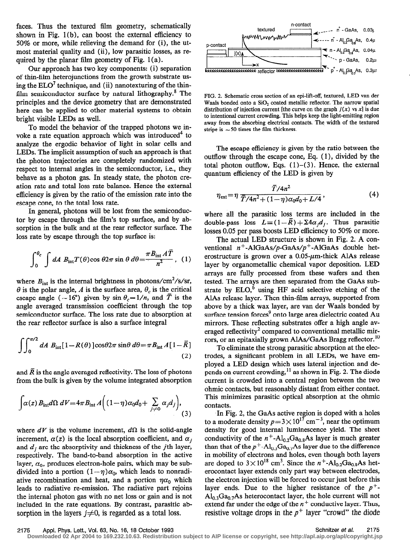faces. Thus the textured film geometry, schematically shown in Fig. 1 (b), can boost the external efficiency to 50% or more, while relieving the demand for (i), the utmost material quality and (ii), low parasitic losses, as required by the planar film geometry of Fig.  $1(a)$ .

Our approach has two key components: (i) separation of thin-film heterojunctions from the growth substrate using the  $ELO<sup>7</sup>$  technique, and (ii) nanotexturing of the thinfilm semiconductor surface by natural lithography. $8$  The principles and the device geometry that are demonstrated here can be applied to other material systems to obtain bright visible LEDs as well.

To model the behavior of the trapped photons we invoke a rate equation approach which was introduced<sup>4</sup> to analyze the ergodic behavior of light in solar cells and LEDs. The implicit assumption of such an approach is that the photon trajectories are completely randomized with respect to internal angles in the semiconductor, i.e., they behave as a photon gas. In steady state, the photon creation rate and total loss rate balance. Hence the external efficiency is given by the ratio of the emission rate into the escape cone, to the total loss rate.

In general, photons will be lost from the semiconductor by escape through the film's top surface, and by absorption in the bulk and at the rear reflector surface. The loss rate by escape through the top surface is:

$$
\int_0^{\theta_c} \int dA B_{\rm int} T(\theta) \cos \theta 2\pi \sin \theta \, d\theta = \frac{\pi B_{\rm int} A \overline{T}}{n^2}, \quad (1)
$$

where  $B_{\text{int}}$  is the internal brightness in photons/cm<sup>2</sup>/s/sr,  $\theta$  is the polar angle, A is the surface area,  $\theta_c$  is the critical escape angle ( $\sim 16^{\circ}$ ) given by sin  $\theta_c = 1/n$ , and  $\overline{T}$  is the angle averaged transmission coefficient through the top semiconductor surface. The loss rate due to absorption at the rear reflector surface is also a surface integral

$$
\int_{0}^{\pi/2} dA B_{int}[1 - R(\theta)] \cos \theta 2\pi \sin \theta \, d\theta = \pi B_{int} A[1 - \overline{R}]
$$
\n(2)

and  $\overline{R}$  is the angle averaged reflectivity. The loss of photons from the bulk is given by the volume integrated absorption

$$
\int \alpha(z) B_{\rm int} d\Omega \ dV = 4\pi B_{\rm int} A \Big( (1 - \eta) \alpha_0 d_0 + \sum_{j \neq 0} \alpha_j d_j \Big), \tag{3}
$$

where  $dV$  is the volume increment,  $d\Omega$  is the solid-angle increment,  $\alpha(z)$  is the local absorption coefficient, and  $\alpha_i$ and  $d_i$  are the absorptivity and thickness of the *j*th layer, respectively. The band-to-band absorption in the active layer,  $\alpha_0$ , produces electron-hole pairs, which may be subdivided into a portion  $(1 - \eta)\alpha_0$ , which leads to nonradiative recombination and heat, and a portion  $\eta a_0$  which leads to radiative re-emission. The radiative part rejoins the internal photon gas with no net loss or gain and is not included in the rate equations. By contrast, parasitic absorption in the layers  $j\neq 0$ , is regarded as a total loss.



FIG. 2. Schematic cross section of an epi-lift-off, textured, LED van der Waals bonded onto a SiO<sub>2</sub> coated metallic reflector. The narrow spatial distribution of injection current [the curve on the graph  $j(x)$  vs x] is due to intentional current crowding. This helps keep the light-emitting region away from the absorbing electrical contacts. The width of the textured stripe is  $\sim$  50 times the film thickness.

The escape efficiency is given by the ratio between the outflow through the escape cone, Eq. ( 1 ), divided by the total photon outflow, Eqs.  $(1)$ – $(3)$ . Hence, the external quantum efficiency of the LED is given by

$$
\eta_{\text{ext}} = \eta \, \frac{\bar{T}/4n^2}{\bar{T}/4n^2 + (1-\eta)\alpha_0 d_0 + L/4},\tag{4}
$$

where all the parasitic loss terms are included in the double-pass loss  $L = (1 - \overline{R}) + \sum 4a_j d_j$ . Thus parasitic losses 0.05 per pass boosts LED efficiency to 50% or more.

The actual LED structure is shown in Fig. 2. A conventional  $n^+$ -AlGaAs/p-GaAs/p<sup>+</sup>-AlGaAs double heterostructure is grown over a  $0.05$ - $\mu$ m-thick AlAs release layer by organometallic chemical vapor deposition. LED arrays are fully processed from these wafers and then tested. The arrays are then separated from the GaAs substrate by  $ELO$ <sup>6</sup> using HF acid selective etching of the AlAs release layer. Then thin-film arrays, supported from above by a thick wax layer, are van der Waals bonded by surface tension forces<sup>9</sup> onto large area dielectric coated Au mirrors. These reflecting substrates offer a high angle averaged reflectivity<sup>2</sup> compared to conventional metallic mirrors, or an epitaxially grown AlAs/GaAs Bragg reflector.<sup>10</sup>

To eliminate the strong parasitic absorption at the electrodes, a significant problem in all LEDs, we have employed a LED design which uses lateral injection and depends on current crowding,  $11$  as shown in Fig. 2. The diode current is crowded into a central region between the two ohmic contacts, but reasonably distant from either contact. This minimizes parasitic optical absorption at the ohmic contacts.

In Fig. 2, the GaAs active region is doped with a holes to a moderate density  $p=3\times 10^{17}$  cm<sup>-3</sup>, near the optimum density for good internal luminescence yield. The sheet conductivity of the  $n^+$ -Al<sub>0.2</sub>Ga<sub>0.8</sub>As layer is much greater than that of the  $p^+$ -Al<sub>0.3</sub>Ga<sub>0.7</sub>As layer due to the difference in mobility of electrons and holes, even though both layers are doped to  $3 \times 10^{18}$  cm<sup>3</sup>. Since the n<sup>+</sup>-Al<sub>0.2</sub>Ga<sub>0.8</sub>As heterocontact layer extends only part way between electrodes, the electron injection will be forced to occur just before this layer ends. Due to the higher resistance of the  $p^+$ - $Al<sub>0.3</sub>Ga<sub>0.7</sub>As heterocontact layer, the hole current will not$ extend far under the edge of the  $n^+$  conductive layer. Thus, resistive voltage drops in the  $p^+$  layer "crowd" the diode